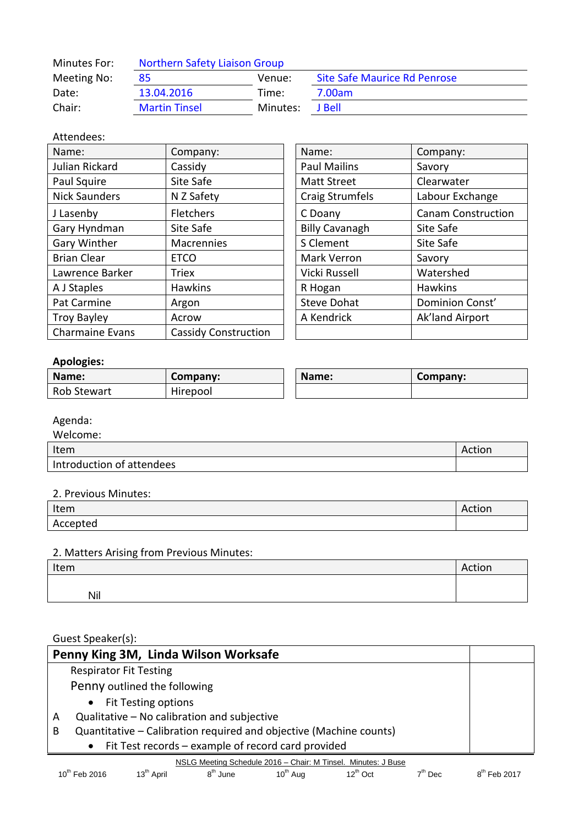| Minutes For: | <b>Northern Safety Liaison Group</b> |          |                                     |  |
|--------------|--------------------------------------|----------|-------------------------------------|--|
| Meeting No:  | 85                                   | Venue:   | <b>Site Safe Maurice Rd Penrose</b> |  |
| Date:        | 13.04.2016                           | Time:    | 7.00am                              |  |
| Chair:       | <b>Martin Tinsel</b>                 | Minutes: | I Bell.                             |  |

# Attendees:

| Name:                  | Company:                    | Name:                  | Company:                  |
|------------------------|-----------------------------|------------------------|---------------------------|
| Julian Rickard         | Cassidy                     | <b>Paul Mailins</b>    | Savory                    |
| Paul Squire            | Site Safe                   | <b>Matt Street</b>     | Clearwater                |
| <b>Nick Saunders</b>   | N Z Safety                  | <b>Craig Strumfels</b> | Labour Exchange           |
| J Lasenby              | Fletchers                   | C Doany                | <b>Canam Construction</b> |
| Gary Hyndman           | Site Safe                   | <b>Billy Cavanagh</b>  | Site Safe                 |
| Gary Winther           | Macrennies                  | S Clement              | Site Safe                 |
| <b>Brian Clear</b>     | <b>ETCO</b>                 | <b>Mark Verron</b>     | Savory                    |
| Lawrence Barker        | <b>Triex</b>                | Vicki Russell          | Watershed                 |
| A J Staples            | <b>Hawkins</b>              | R Hogan                | <b>Hawkins</b>            |
| Pat Carmine            | Argon                       | <b>Steve Dohat</b>     | Dominion Const'           |
| <b>Troy Bayley</b>     | Acrow                       | A Kendrick             | Ak'land Airport           |
| <b>Charmaine Evans</b> | <b>Cassidy Construction</b> |                        |                           |

| Name:                 | Company:                  |
|-----------------------|---------------------------|
| <b>Paul Mailins</b>   | Savory                    |
| <b>Matt Street</b>    | Clearwater                |
| Craig Strumfels       | Labour Exchange           |
| C Doany               | <b>Canam Construction</b> |
| <b>Billy Cavanagh</b> | Site Safe                 |
| S Clement             | Site Safe                 |
| Mark Verron           | Savory                    |
| Vicki Russell         | Watershed                 |
| R Hogan               | <b>Hawkins</b>            |
| <b>Steve Dohat</b>    | Dominion Const'           |
| A Kendrick            | Ak'land Airport           |
|                       |                           |

# **Apologies:**

| Name:              | Company: | Name: | Company: |
|--------------------|----------|-------|----------|
| <b>Rob Stewart</b> | Hirepool |       |          |

### Agenda:

| Welcome:                  |        |
|---------------------------|--------|
| Item                      | Action |
| Introduction of attendees |        |

#### 2. Previous Minutes:

| Item     | Action |
|----------|--------|
| Accepted |        |

# 2. Matters Arising from Previous Minutes:

| Item | Action |
|------|--------|
|      |        |
| Nil  |        |

# Guest Speaker(s):

| Penny King 3M, Linda Wilson Worksafe                                    |  |
|-------------------------------------------------------------------------|--|
| <b>Respirator Fit Testing</b>                                           |  |
| Penny outlined the following                                            |  |
| • Fit Testing options                                                   |  |
| Qualitative - No calibration and subjective<br>A                        |  |
| Quantitative - Calibration required and objective (Machine counts)<br>B |  |
| • Fit Test records – example of record card provided                    |  |
| NSLG Meeting Schedule 2016 - Chair: M Tinsel. Minutes: J Buse           |  |